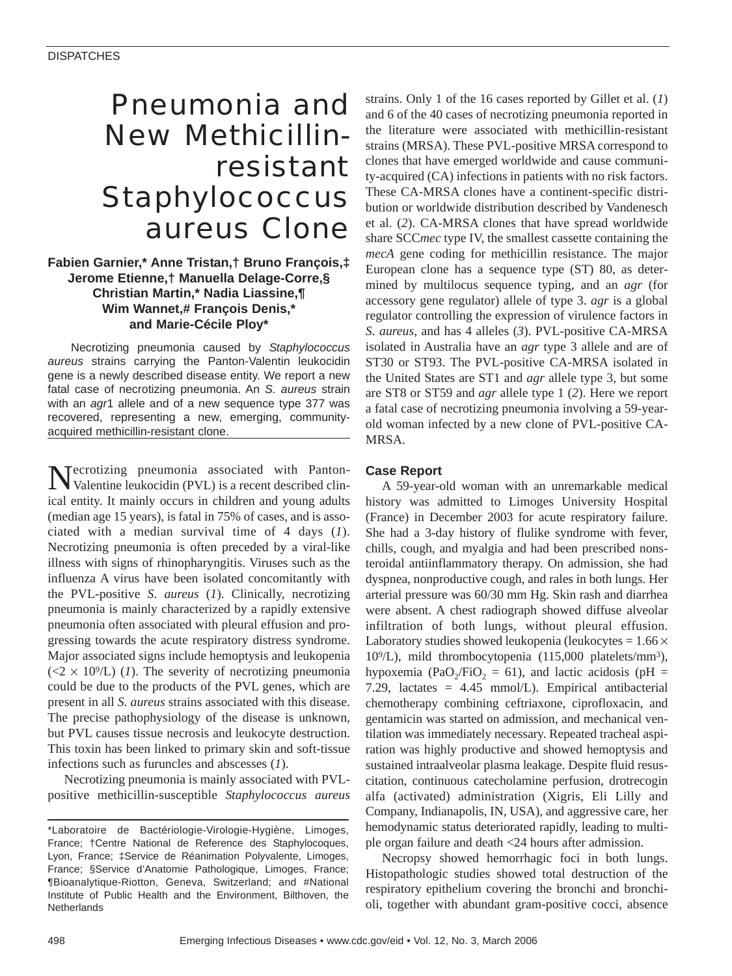# Pneumonia and New Methicillinresistant *Staphylococcus aureus* Clone

## **Fabien Garnier,\* Anne Tristan,† Bruno François,‡ Jerome Etienne,† Manuella Delage-Corre,§ Christian Martin,\* Nadia Liassine,¶ Wim Wannet,# François Denis,\* and Marie-Cécile Ploy\***

Necrotizing pneumonia caused by *Staphylococcus aureus* strains carrying the Panton-Valentin leukocidin gene is a newly described disease entity. We report a new fatal case of necrotizing pneumonia. An *S. aureus* strain with an *agr*1 allele and of a new sequence type 377 was recovered, representing a new, emerging, communityacquired methicillin-resistant clone.

Necrotizing pneumonia associated with Panton-Valentine leukocidin (PVL) is a recent described clinical entity. It mainly occurs in children and young adults (median age 15 years), is fatal in 75% of cases, and is associated with a median survival time of 4 days (*1*). Necrotizing pneumonia is often preceded by a viral-like illness with signs of rhinopharyngitis. Viruses such as the influenza A virus have been isolated concomitantly with the PVL-positive *S*. *aureus* (*1*). Clinically, necrotizing pneumonia is mainly characterized by a rapidly extensive pneumonia often associated with pleural effusion and progressing towards the acute respiratory distress syndrome. Major associated signs include hemoptysis and leukopenia  $(\langle 2 \times 10^9 \rangle L)$  (*1*). The severity of necrotizing pneumonia could be due to the products of the PVL genes, which are present in all *S*. *aureus* strains associated with this disease. The precise pathophysiology of the disease is unknown, but PVL causes tissue necrosis and leukocyte destruction. This toxin has been linked to primary skin and soft-tissue infections such as furuncles and abscesses (*1*).

Necrotizing pneumonia is mainly associated with PVLpositive methicillin-susceptible *Staphylococcus aureus* strains. Only 1 of the 16 cases reported by Gillet et al. (*1*) and 6 of the 40 cases of necrotizing pneumonia reported in the literature were associated with methicillin-resistant strains (MRSA). These PVL-positive MRSA correspond to clones that have emerged worldwide and cause community-acquired (CA) infections in patients with no risk factors. These CA-MRSA clones have a continent-specific distribution or worldwide distribution described by Vandenesch et al. (*2*). CA-MRSA clones that have spread worldwide share SCC*mec* type IV, the smallest cassette containing the *mecA* gene coding for methicillin resistance. The major European clone has a sequence type (ST) 80, as determined by multilocus sequence typing, and an *agr* (for accessory gene regulator) allele of type 3. *agr* is a global regulator controlling the expression of virulence factors in *S*. *aureus,* and has 4 alleles (*3*). PVL-positive CA-MRSA isolated in Australia have an *agr* type 3 allele and are of ST30 or ST93. The PVL-positive CA-MRSA isolated in the United States are ST1 and *agr* allele type 3, but some are ST8 or ST59 and *agr* allele type 1 (*2*). Here we report a fatal case of necrotizing pneumonia involving a 59-yearold woman infected by a new clone of PVL-positive CA-MRSA.

### **Case Report**

A 59-year-old woman with an unremarkable medical history was admitted to Limoges University Hospital (France) in December 2003 for acute respiratory failure. She had a 3-day history of flulike syndrome with fever, chills, cough, and myalgia and had been prescribed nonsteroidal antiinflammatory therapy. On admission, she had dyspnea, nonproductive cough, and rales in both lungs. Her arterial pressure was 60/30 mm Hg. Skin rash and diarrhea were absent. A chest radiograph showed diffuse alveolar infiltration of both lungs, without pleural effusion. Laboratory studies showed leukopenia (leukocytes =  $1.66 \times$ 109/L), mild thrombocytopenia (115,000 platelets/mm3), hypoxemia (PaO<sub>2</sub>/FiO<sub>2</sub> = 61), and lactic acidosis (pH = 7.29, lactates = 4.45 mmol/L). Empirical antibacterial chemotherapy combining ceftriaxone, ciprofloxacin, and gentamicin was started on admission, and mechanical ventilation was immediately necessary. Repeated tracheal aspiration was highly productive and showed hemoptysis and sustained intraalveolar plasma leakage. Despite fluid resuscitation, continuous catecholamine perfusion, drotrecogin alfa (activated) administration (Xigris, Eli Lilly and Company, Indianapolis, IN, USA), and aggressive care, her hemodynamic status deteriorated rapidly, leading to multiple organ failure and death <24 hours after admission.

Necropsy showed hemorrhagic foci in both lungs. Histopathologic studies showed total destruction of the respiratory epithelium covering the bronchi and bronchioli, together with abundant gram-positive cocci, absence

<sup>\*</sup>Laboratoire de Bactériologie-Virologie-Hygiène, Limoges, France; †Centre National de Reference des Staphylocoques, Lyon, France; ‡Service de Réanimation Polyvalente, Limoges, France; §Service d'Anatomie Pathologique, Limoges, France; ¶Bioanalytique-Riotton, Geneva, Switzerland; and #National Institute of Public Health and the Environment, Bilthoven, the **Netherlands**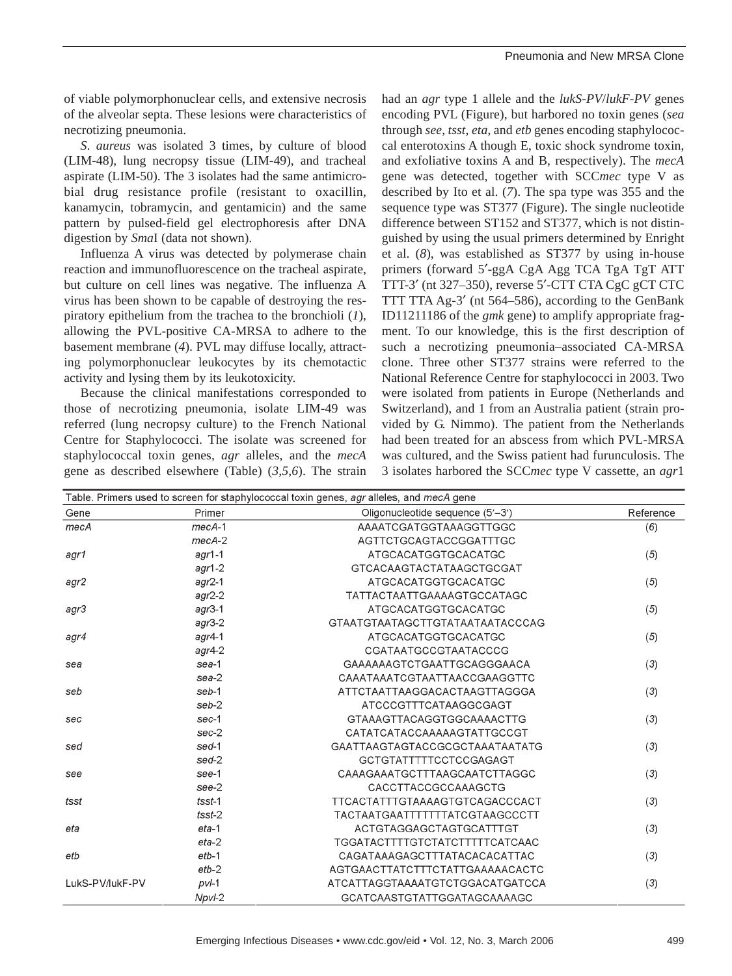of viable polymorphonuclear cells, and extensive necrosis of the alveolar septa. These lesions were characteristics of necrotizing pneumonia.

*S*. *aureus* was isolated 3 times, by culture of blood (LIM-48), lung necropsy tissue (LIM-49), and tracheal aspirate (LIM-50). The 3 isolates had the same antimicrobial drug resistance profile (resistant to oxacillin, kanamycin, tobramycin, and gentamicin) and the same pattern by pulsed-field gel electrophoresis after DNA digestion by *Sma*I (data not shown).

Influenza A virus was detected by polymerase chain reaction and immunofluorescence on the tracheal aspirate, but culture on cell lines was negative. The influenza A virus has been shown to be capable of destroying the respiratory epithelium from the trachea to the bronchioli (*1*), allowing the PVL-positive CA-MRSA to adhere to the basement membrane (*4*). PVL may diffuse locally, attracting polymorphonuclear leukocytes by its chemotactic activity and lysing them by its leukotoxicity.

Because the clinical manifestations corresponded to those of necrotizing pneumonia, isolate LIM-49 was referred (lung necropsy culture) to the French National Centre for Staphylococci. The isolate was screened for staphylococcal toxin genes, *agr* alleles, and the *mecA* gene as described elsewhere (Table) (*3,5,6*). The strain

had an *agr* type 1 allele and the *lukS-PV*/*lukF-PV* genes encoding PVL (Figure), but harbored no toxin genes (*sea* through *see*, *tsst*, *eta*, and *etb* genes encoding staphylococcal enterotoxins A though E, toxic shock syndrome toxin, and exfoliative toxins A and B, respectively). The *mecA* gene was detected, together with SCC*mec* type V as described by Ito et al. (*7*). The spa type was 355 and the sequence type was ST377 (Figure). The single nucleotide difference between ST152 and ST377, which is not distinguished by using the usual primers determined by Enright et al. (*8*), was established as ST377 by using in-house primers (forward 5′-ggA CgA Agg TCA TgA TgT ATT TTT-3′ (nt 327–350), reverse 5′-CTT CTA CgC gCT CTC TTT TTA Ag-3′ (nt 564–586), according to the GenBank ID11211186 of the *gmk* gene) to amplify appropriate fragment. To our knowledge, this is the first description of such a necrotizing pneumonia–associated CA-MRSA clone. Three other ST377 strains were referred to the National Reference Centre for staphylococci in 2003. Two were isolated from patients in Europe (Netherlands and Switzerland), and 1 from an Australia patient (strain provided by G. Nimmo). The patient from the Netherlands had been treated for an abscess from which PVL-MRSA was cultured, and the Swiss patient had furunculosis. The 3 isolates harbored the SCC*mec* type V cassette, an *agr*1

| Table. Primers used to screen for staphylococcal toxin genes, agr alleles, and mecA gene |           |                                       |           |
|------------------------------------------------------------------------------------------|-----------|---------------------------------------|-----------|
| Gene                                                                                     | Primer    | Oligonucleotide sequence (5'-3')      | Reference |
| mecA                                                                                     | $mecA-1$  | AAAATCGATGGTAAAGGTTGGC                | (6)       |
|                                                                                          | $mecA-2$  | AGTTCTGCAGTACCGGATTTGC                |           |
| agr1                                                                                     | $agr1-1$  | ATGCACATGGTGCACATGC                   | (5)       |
|                                                                                          | $aqr1-2$  | <b>GTCACAAGTACTATAAGCTGCGAT</b>       |           |
| agr2                                                                                     | $agr2-1$  | ATGCACATGGTGCACATGC                   | (5)       |
|                                                                                          | $agr2-2$  | <b>TATTACTAATTGAAAAGTGCCATAGC</b>     |           |
| agr3                                                                                     | $agr$ 3-1 | <b>ATGCACATGGTGCACATGC</b>            | (5)       |
|                                                                                          | $agr$ 3-2 | GTAATGTAATAGCTTGTATAATAATACCCAG       |           |
| agr4                                                                                     | $agr$ 4-1 | ATGCACATGGTGCACATGC                   | (5)       |
|                                                                                          | $agr4-2$  | CGATAATGCCGTAATACCCG                  |           |
| sea                                                                                      | sea-1     | GAAAAAAGTCTGAATTGCAGGGAACA            | (3)       |
|                                                                                          | $sea-2$   | CAAATAAATCGTAATTAACCGAAGGTTC          |           |
| seb                                                                                      | seb-1     | ATTCTAATTAAGGACACTAAGTTAGGGA          | (3)       |
|                                                                                          | seb-2     | ATCCCGTTTCATAAGGCGAGT                 |           |
| sec                                                                                      | sec-1     | GTAAAGTTACAGGTGGCAAAACTTG             | (3)       |
|                                                                                          | $sec-2$   | CATATCATACCAAAAAGTATTGCCGT            |           |
| sed                                                                                      | sed-1     | GAATTAAGTAGTACCGCGCTAAATAATATG        | (3)       |
|                                                                                          | sed-2     | GCTGTATTTTTCCTCCGAGAGT                |           |
| see                                                                                      | see-1     | CAAAGAAATGCTTTAAGCAATCTTAGGC          | (3)       |
|                                                                                          | see-2     | CACCTTACCGCCAAAGCTG                   |           |
| tsst                                                                                     | $t$ sst-1 | <b>TTCACTATTTGTAAAAGTGTCAGACCCACT</b> | (3)       |
|                                                                                          | $t$ sst-2 | TACTAATGAATTTTTTTATCGTAAGCCCTT        |           |
| eta                                                                                      | $eta-1$   | ACTGTAGGAGCTAGTGCATTTGT               | (3)       |
|                                                                                          | $eta-2$   | <b>TGGATACTTTTGTCTATCTTTTTCATCAAC</b> |           |
| etb                                                                                      | $etb-1$   | CAGATAAAGAGCTTTATACACACATTAC          | (3)       |
|                                                                                          | $etb-2$   | AGTGAACTTATCTTTCTATTGAAAAACACTC       |           |
| LukS-PV/lukF-PV                                                                          | $pvI-1$   | ATCATTAGGTAAAATGTCTGGACATGATCCA       | (3)       |
|                                                                                          | Npvl-2    | <b>GCATCAASTGTATTGGATAGCAAAAGC</b>    |           |